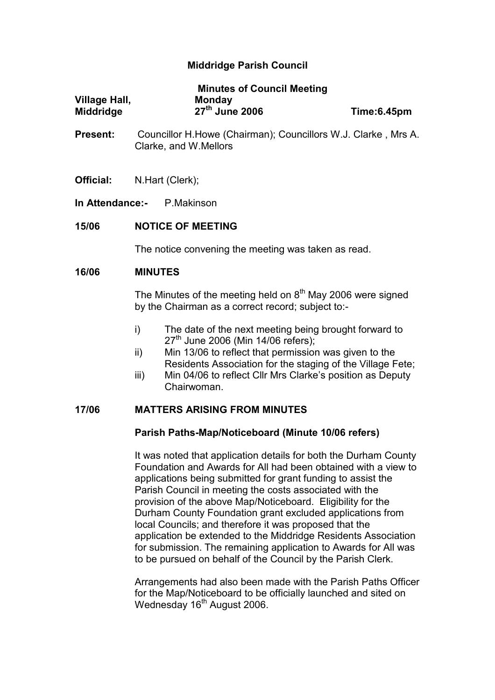# Middridge Parish Council

|                      | <b>Minutes of Council Meeting</b> |             |
|----------------------|-----------------------------------|-------------|
| <b>Village Hall,</b> | Monday                            |             |
| Middridge            | $27th$ June 2006                  | Time:6.45pm |

- Present: Councillor H.Howe (Chairman); Councillors W.J. Clarke , Mrs A. Clarke, and W.Mellors
- Official: N.Hart (Clerk);

#### In Attendance:- P.Makinson

## 15/06 NOTICE OF MEETING

The notice convening the meeting was taken as read.

## 16/06 MINUTES

The Minutes of the meeting held on  $8<sup>th</sup>$  May 2006 were signed by the Chairman as a correct record; subject to:-

- i) The date of the next meeting being brought forward to  $27<sup>th</sup>$  June 2006 (Min 14/06 refers);
- ii) Min 13/06 to reflect that permission was given to the Residents Association for the staging of the Village Fete;
- iii) Min 04/06 to reflect Cllr Mrs Clarke's position as Deputy Chairwoman.

## 17/06 MATTERS ARISING FROM MINUTES

## Parish Paths-Map/Noticeboard (Minute 10/06 refers)

It was noted that application details for both the Durham County Foundation and Awards for All had been obtained with a view to applications being submitted for grant funding to assist the Parish Council in meeting the costs associated with the provision of the above Map/Noticeboard. Eligibility for the Durham County Foundation grant excluded applications from local Councils; and therefore it was proposed that the application be extended to the Middridge Residents Association for submission. The remaining application to Awards for All was to be pursued on behalf of the Council by the Parish Clerk.

 Arrangements had also been made with the Parish Paths Officer for the Map/Noticeboard to be officially launched and sited on Wednesday 16<sup>th</sup> August 2006.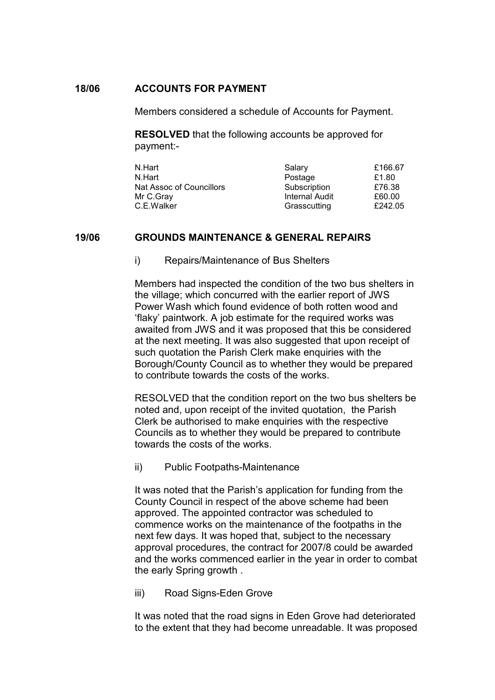## 18/06 ACCOUNTS FOR PAYMENT

Members considered a schedule of Accounts for Payment.

RESOLVED that the following accounts be approved for payment:-

| N.Hart<br>N.Hart         | Salary                  | £166.67<br>£1.80 |
|--------------------------|-------------------------|------------------|
| Nat Assoc of Councillors | Postage<br>Subscription | £76.38           |
| Mr C.Gray                | <b>Internal Audit</b>   | £60.00           |
| C.E.Walker               | Grasscutting            | £242.05          |

## 19/06 GROUNDS MAINTENANCE & GENERAL REPAIRS

#### i) Repairs/Maintenance of Bus Shelters

Members had inspected the condition of the two bus shelters in the village; which concurred with the earlier report of JWS Power Wash which found evidence of both rotten wood and 'flaky' paintwork. A job estimate for the required works was awaited from JWS and it was proposed that this be considered at the next meeting. It was also suggested that upon receipt of such quotation the Parish Clerk make enquiries with the Borough/County Council as to whether they would be prepared to contribute towards the costs of the works.

RESOLVED that the condition report on the two bus shelters be noted and, upon receipt of the invited quotation, the Parish Clerk be authorised to make enquiries with the respective Councils as to whether they would be prepared to contribute towards the costs of the works.

ii) Public Footpaths-Maintenance

 It was noted that the Parish's application for funding from the County Council in respect of the above scheme had been approved. The appointed contractor was scheduled to commence works on the maintenance of the footpaths in the next few days. It was hoped that, subject to the necessary approval procedures, the contract for 2007/8 could be awarded and the works commenced earlier in the year in order to combat the early Spring growth .

iii) Road Signs-Eden Grove

It was noted that the road signs in Eden Grove had deteriorated to the extent that they had become unreadable. It was proposed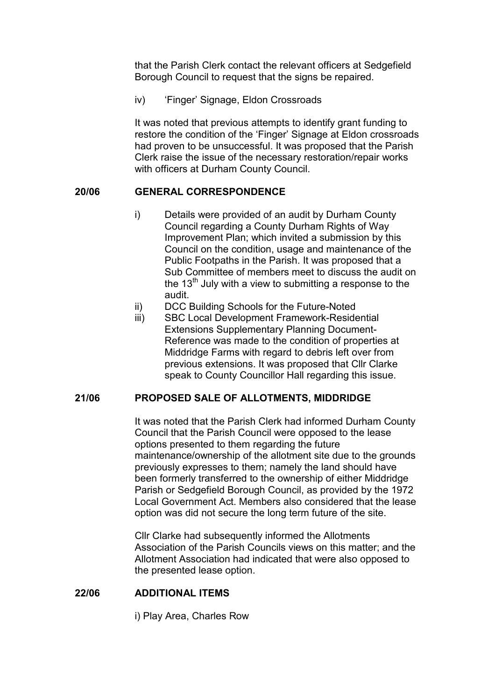that the Parish Clerk contact the relevant officers at Sedgefield Borough Council to request that the signs be repaired.

iv) 'Finger' Signage, Eldon Crossroads

It was noted that previous attempts to identify grant funding to restore the condition of the 'Finger' Signage at Eldon crossroads had proven to be unsuccessful. It was proposed that the Parish Clerk raise the issue of the necessary restoration/repair works with officers at Durham County Council.

# 20/06 GENERAL CORRESPONDENCE

- i) Details were provided of an audit by Durham County Council regarding a County Durham Rights of Way Improvement Plan; which invited a submission by this Council on the condition, usage and maintenance of the Public Footpaths in the Parish. It was proposed that a Sub Committee of members meet to discuss the audit on the 13<sup>th</sup> July with a view to submitting a response to the audit.
- ii) DCC Building Schools for the Future-Noted
- iii) SBC Local Development Framework-Residential Extensions Supplementary Planning Document-Reference was made to the condition of properties at Middridge Farms with regard to debris left over from previous extensions. It was proposed that Cllr Clarke speak to County Councillor Hall regarding this issue.

# 21/06 PROPOSED SALE OF ALLOTMENTS, MIDDRIDGE

It was noted that the Parish Clerk had informed Durham County Council that the Parish Council were opposed to the lease options presented to them regarding the future maintenance/ownership of the allotment site due to the grounds previously expresses to them; namely the land should have been formerly transferred to the ownership of either Middridge Parish or Sedgefield Borough Council, as provided by the 1972 Local Government Act. Members also considered that the lease option was did not secure the long term future of the site.

Cllr Clarke had subsequently informed the Allotments Association of the Parish Councils views on this matter; and the Allotment Association had indicated that were also opposed to the presented lease option.

## 22/06 ADDITIONAL ITEMS

i) Play Area, Charles Row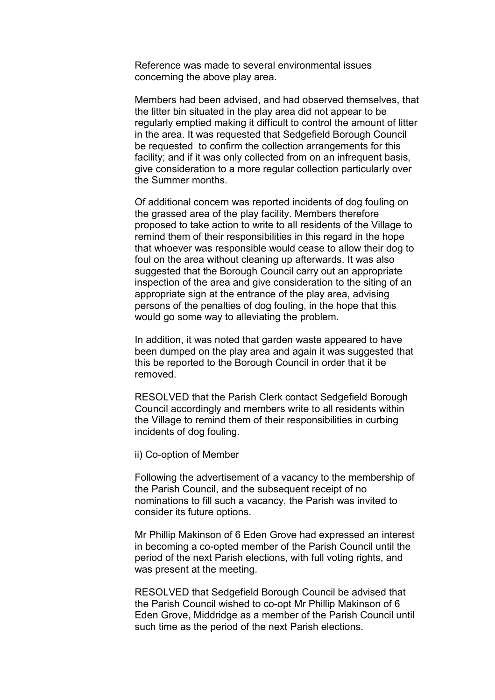Reference was made to several environmental issues concerning the above play area.

Members had been advised, and had observed themselves, that the litter bin situated in the play area did not appear to be regularly emptied making it difficult to control the amount of litter in the area. It was requested that Sedgefield Borough Council be requested to confirm the collection arrangements for this facility; and if it was only collected from on an infrequent basis, give consideration to a more regular collection particularly over the Summer months.

Of additional concern was reported incidents of dog fouling on the grassed area of the play facility. Members therefore proposed to take action to write to all residents of the Village to remind them of their responsibilities in this regard in the hope that whoever was responsible would cease to allow their dog to foul on the area without cleaning up afterwards. It was also suggested that the Borough Council carry out an appropriate inspection of the area and give consideration to the siting of an appropriate sign at the entrance of the play area, advising persons of the penalties of dog fouling, in the hope that this would go some way to alleviating the problem.

In addition, it was noted that garden waste appeared to have been dumped on the play area and again it was suggested that this be reported to the Borough Council in order that it be removed.

 RESOLVED that the Parish Clerk contact Sedgefield Borough Council accordingly and members write to all residents within the Village to remind them of their responsibilities in curbing incidents of dog fouling.

ii) Co-option of Member

Following the advertisement of a vacancy to the membership of the Parish Council, and the subsequent receipt of no nominations to fill such a vacancy, the Parish was invited to consider its future options.

Mr Phillip Makinson of 6 Eden Grove had expressed an interest in becoming a co-opted member of the Parish Council until the period of the next Parish elections, with full voting rights, and was present at the meeting.

RESOLVED that Sedgefield Borough Council be advised that the Parish Council wished to co-opt Mr Phillip Makinson of 6 Eden Grove, Middridge as a member of the Parish Council until such time as the period of the next Parish elections.